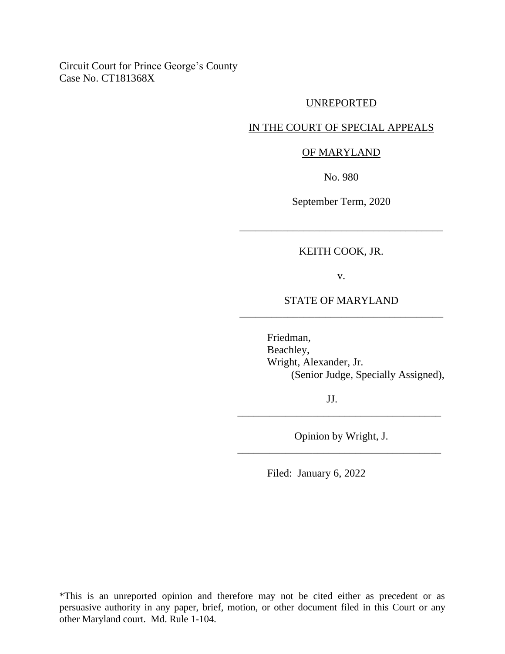Circuit Court for Prince George's County Case No. CT181368X

#### UNREPORTED

# IN THE COURT OF SPECIAL APPEALS

#### OF MARYLAND

No. 980

September Term, 2020

### KEITH COOK, JR.

\_\_\_\_\_\_\_\_\_\_\_\_\_\_\_\_\_\_\_\_\_\_\_\_\_\_\_\_\_\_\_\_\_\_\_\_\_\_

v.

# STATE OF MARYLAND \_\_\_\_\_\_\_\_\_\_\_\_\_\_\_\_\_\_\_\_\_\_\_\_\_\_\_\_\_\_\_\_\_\_\_\_\_\_

Friedman, Beachley, Wright, Alexander, Jr. (Senior Judge, Specially Assigned),

JJ.

Opinion by Wright, J. \_\_\_\_\_\_\_\_\_\_\_\_\_\_\_\_\_\_\_\_\_\_\_\_\_\_\_\_\_\_\_\_\_\_\_\_\_\_

\_\_\_\_\_\_\_\_\_\_\_\_\_\_\_\_\_\_\_\_\_\_\_\_\_\_\_\_\_\_\_\_\_\_\_\_\_\_

Filed: January 6, 2022

\*This is an unreported opinion and therefore may not be cited either as precedent or as persuasive authority in any paper, brief, motion, or other document filed in this Court or any other Maryland court. Md. Rule 1-104.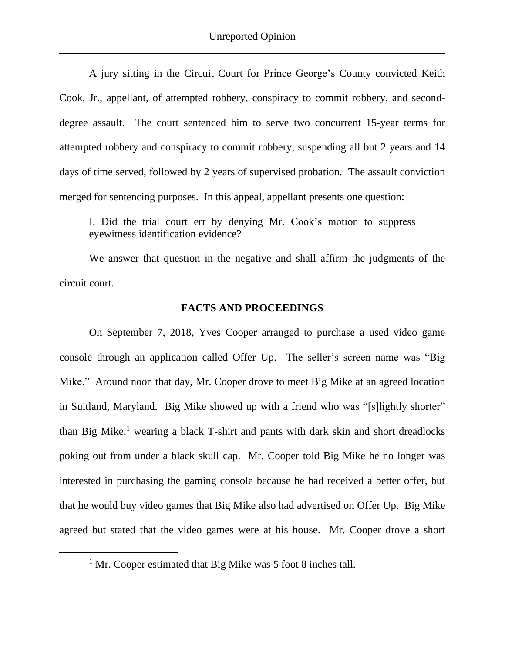A jury sitting in the Circuit Court for Prince George's County convicted Keith Cook, Jr., appellant, of attempted robbery, conspiracy to commit robbery, and seconddegree assault. The court sentenced him to serve two concurrent 15-year terms for attempted robbery and conspiracy to commit robbery, suspending all but 2 years and 14 days of time served, followed by 2 years of supervised probation. The assault conviction merged for sentencing purposes. In this appeal, appellant presents one question:

I. Did the trial court err by denying Mr. Cook's motion to suppress eyewitness identification evidence?

We answer that question in the negative and shall affirm the judgments of the circuit court.

## **FACTS AND PROCEEDINGS**

On September 7, 2018, Yves Cooper arranged to purchase a used video game console through an application called Offer Up. The seller's screen name was "Big Mike." Around noon that day, Mr. Cooper drove to meet Big Mike at an agreed location in Suitland, Maryland. Big Mike showed up with a friend who was "[s]lightly shorter" than Big Mike, $<sup>1</sup>$  wearing a black T-shirt and pants with dark skin and short dreadlocks</sup> poking out from under a black skull cap. Mr. Cooper told Big Mike he no longer was interested in purchasing the gaming console because he had received a better offer, but that he would buy video games that Big Mike also had advertised on Offer Up. Big Mike agreed but stated that the video games were at his house. Mr. Cooper drove a short

<sup>&</sup>lt;sup>1</sup> Mr. Cooper estimated that Big Mike was 5 foot 8 inches tall.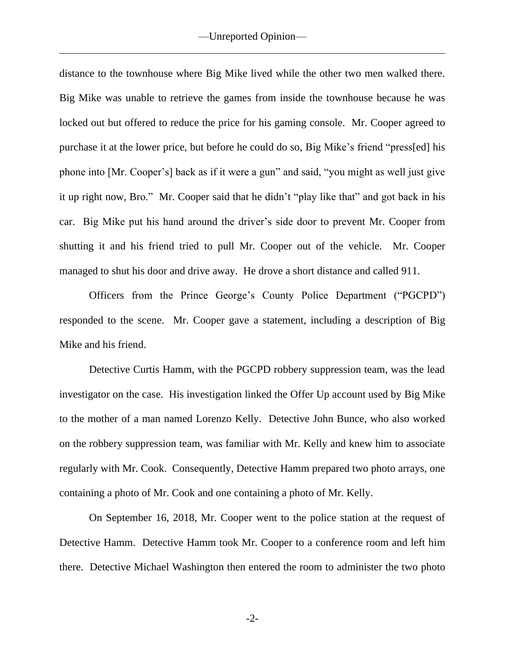distance to the townhouse where Big Mike lived while the other two men walked there. Big Mike was unable to retrieve the games from inside the townhouse because he was locked out but offered to reduce the price for his gaming console. Mr. Cooper agreed to purchase it at the lower price, but before he could do so, Big Mike's friend "press[ed] his phone into [Mr. Cooper's] back as if it were a gun" and said, "you might as well just give it up right now, Bro." Mr. Cooper said that he didn't "play like that" and got back in his car. Big Mike put his hand around the driver's side door to prevent Mr. Cooper from shutting it and his friend tried to pull Mr. Cooper out of the vehicle. Mr. Cooper managed to shut his door and drive away. He drove a short distance and called 911.

Officers from the Prince George's County Police Department ("PGCPD") responded to the scene. Mr. Cooper gave a statement, including a description of Big Mike and his friend.

Detective Curtis Hamm, with the PGCPD robbery suppression team, was the lead investigator on the case. His investigation linked the Offer Up account used by Big Mike to the mother of a man named Lorenzo Kelly. Detective John Bunce, who also worked on the robbery suppression team, was familiar with Mr. Kelly and knew him to associate regularly with Mr. Cook. Consequently, Detective Hamm prepared two photo arrays, one containing a photo of Mr. Cook and one containing a photo of Mr. Kelly.

On September 16, 2018, Mr. Cooper went to the police station at the request of Detective Hamm. Detective Hamm took Mr. Cooper to a conference room and left him there. Detective Michael Washington then entered the room to administer the two photo

-2-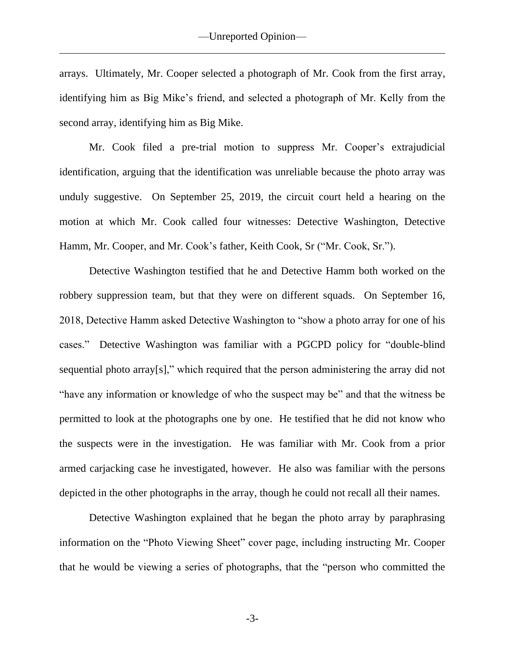arrays. Ultimately, Mr. Cooper selected a photograph of Mr. Cook from the first array, identifying him as Big Mike's friend, and selected a photograph of Mr. Kelly from the second array, identifying him as Big Mike.

Mr. Cook filed a pre-trial motion to suppress Mr. Cooper's extrajudicial identification, arguing that the identification was unreliable because the photo array was unduly suggestive. On September 25, 2019, the circuit court held a hearing on the motion at which Mr. Cook called four witnesses: Detective Washington, Detective Hamm, Mr. Cooper, and Mr. Cook's father, Keith Cook, Sr ("Mr. Cook, Sr.").

Detective Washington testified that he and Detective Hamm both worked on the robbery suppression team, but that they were on different squads. On September 16, 2018, Detective Hamm asked Detective Washington to "show a photo array for one of his cases." Detective Washington was familiar with a PGCPD policy for "double-blind sequential photo array[s]," which required that the person administering the array did not "have any information or knowledge of who the suspect may be" and that the witness be permitted to look at the photographs one by one. He testified that he did not know who the suspects were in the investigation. He was familiar with Mr. Cook from a prior armed carjacking case he investigated, however. He also was familiar with the persons depicted in the other photographs in the array, though he could not recall all their names.

Detective Washington explained that he began the photo array by paraphrasing information on the "Photo Viewing Sheet" cover page, including instructing Mr. Cooper that he would be viewing a series of photographs, that the "person who committed the

-3-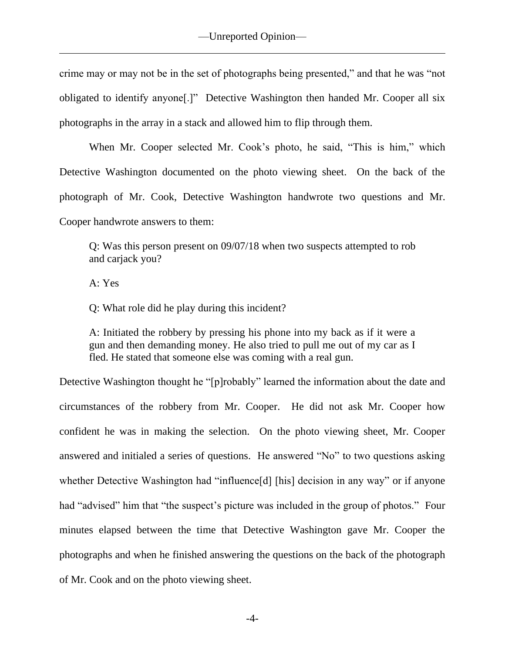crime may or may not be in the set of photographs being presented," and that he was "not obligated to identify anyone[.]" Detective Washington then handed Mr. Cooper all six photographs in the array in a stack and allowed him to flip through them.

When Mr. Cooper selected Mr. Cook's photo, he said, "This is him," which Detective Washington documented on the photo viewing sheet. On the back of the photograph of Mr. Cook, Detective Washington handwrote two questions and Mr. Cooper handwrote answers to them:

Q: Was this person present on 09/07/18 when two suspects attempted to rob and carjack you?

A: Yes

Q: What role did he play during this incident?

A: Initiated the robbery by pressing his phone into my back as if it were a gun and then demanding money. He also tried to pull me out of my car as I fled. He stated that someone else was coming with a real gun.

Detective Washington thought he "[p]robably" learned the information about the date and circumstances of the robbery from Mr. Cooper. He did not ask Mr. Cooper how confident he was in making the selection. On the photo viewing sheet, Mr. Cooper answered and initialed a series of questions. He answered "No" to two questions asking whether Detective Washington had "influence[d] [his] decision in any way" or if anyone had "advised" him that "the suspect's picture was included in the group of photos." Four minutes elapsed between the time that Detective Washington gave Mr. Cooper the photographs and when he finished answering the questions on the back of the photograph of Mr. Cook and on the photo viewing sheet.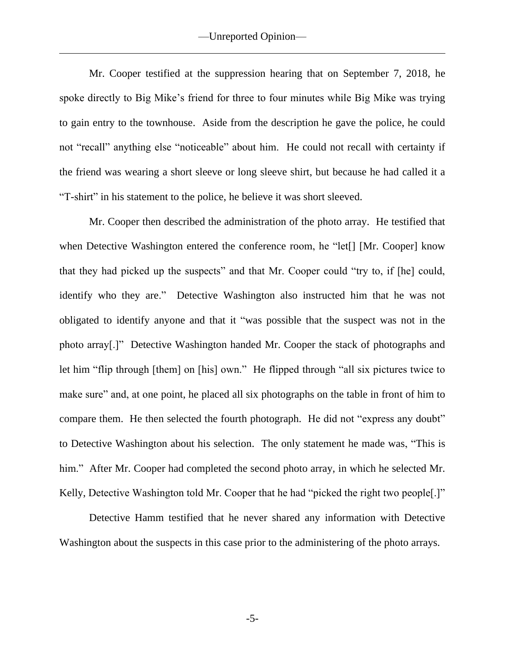Mr. Cooper testified at the suppression hearing that on September 7, 2018, he spoke directly to Big Mike's friend for three to four minutes while Big Mike was trying to gain entry to the townhouse. Aside from the description he gave the police, he could not "recall" anything else "noticeable" about him. He could not recall with certainty if the friend was wearing a short sleeve or long sleeve shirt, but because he had called it a "T-shirt" in his statement to the police, he believe it was short sleeved.

Mr. Cooper then described the administration of the photo array. He testified that when Detective Washington entered the conference room, he "let<sup>[]</sup> [Mr. Cooper] know that they had picked up the suspects" and that Mr. Cooper could "try to, if [he] could, identify who they are." Detective Washington also instructed him that he was not obligated to identify anyone and that it "was possible that the suspect was not in the photo array[.]" Detective Washington handed Mr. Cooper the stack of photographs and let him "flip through [them] on [his] own." He flipped through "all six pictures twice to make sure" and, at one point, he placed all six photographs on the table in front of him to compare them. He then selected the fourth photograph. He did not "express any doubt" to Detective Washington about his selection. The only statement he made was, "This is him." After Mr. Cooper had completed the second photo array, in which he selected Mr. Kelly, Detective Washington told Mr. Cooper that he had "picked the right two people[.]"

Detective Hamm testified that he never shared any information with Detective Washington about the suspects in this case prior to the administering of the photo arrays.

-5-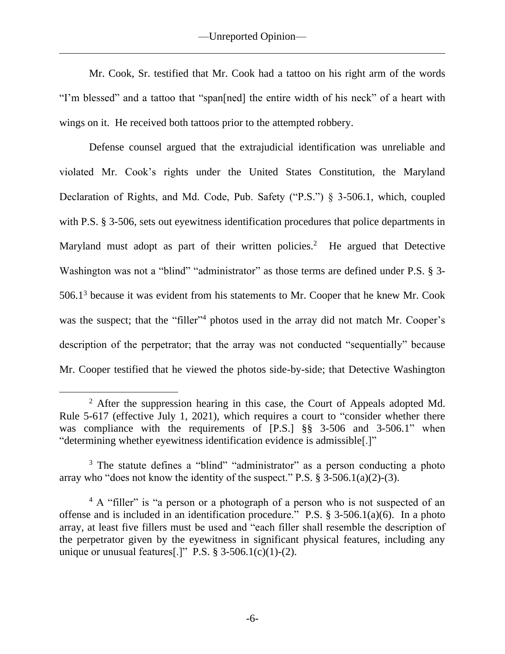Mr. Cook, Sr. testified that Mr. Cook had a tattoo on his right arm of the words "I'm blessed" and a tattoo that "span[ned] the entire width of his neck" of a heart with wings on it. He received both tattoos prior to the attempted robbery.

Defense counsel argued that the extrajudicial identification was unreliable and violated Mr. Cook's rights under the United States Constitution, the Maryland Declaration of Rights, and Md. Code, Pub. Safety ("P.S.") § 3-506.1, which, coupled with P.S. § 3-506, sets out eyewitness identification procedures that police departments in Maryland must adopt as part of their written policies.<sup>2</sup> He argued that Detective Washington was not a "blind" "administrator" as those terms are defined under P.S. § 3- $506.1<sup>3</sup>$  because it was evident from his statements to Mr. Cooper that he knew Mr. Cook was the suspect; that the "filler"<sup>4</sup> photos used in the array did not match Mr. Cooper's description of the perpetrator; that the array was not conducted "sequentially" because Mr. Cooper testified that he viewed the photos side-by-side; that Detective Washington

<sup>&</sup>lt;sup>2</sup> After the suppression hearing in this case, the Court of Appeals adopted Md. Rule 5-617 (effective July 1, 2021), which requires a court to "consider whether there was compliance with the requirements of [P.S.] §§ 3-506 and 3-506.1" when "determining whether eyewitness identification evidence is admissible[.]"

<sup>&</sup>lt;sup>3</sup> The statute defines a "blind" "administrator" as a person conducting a photo array who "does not know the identity of the suspect." P.S.  $\S$  3-506.1(a)(2)-(3).

<sup>&</sup>lt;sup>4</sup> A "filler" is "a person or a photograph of a person who is not suspected of an offense and is included in an identification procedure." P.S. § 3-506.1(a)(6). In a photo array, at least five fillers must be used and "each filler shall resemble the description of the perpetrator given by the eyewitness in significant physical features, including any unique or unusual features[.]" P.S.  $\S 3-506.1(c)(1)-(2)$ .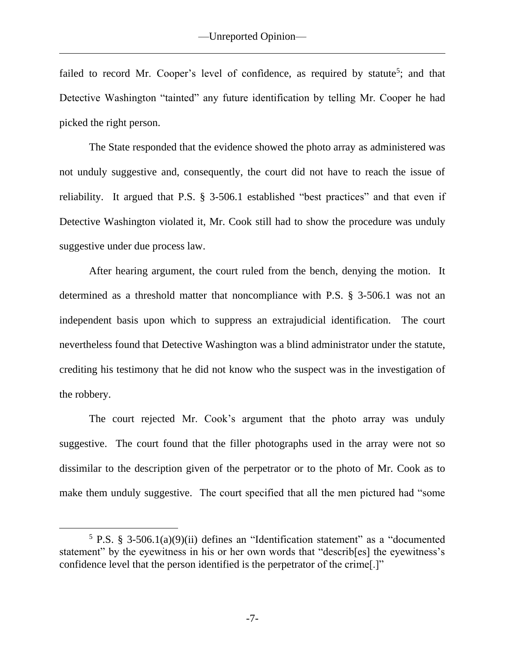failed to record Mr. Cooper's level of confidence, as required by statute<sup>5</sup>; and that Detective Washington "tainted" any future identification by telling Mr. Cooper he had picked the right person.

The State responded that the evidence showed the photo array as administered was not unduly suggestive and, consequently, the court did not have to reach the issue of reliability. It argued that P.S. § 3-506.1 established "best practices" and that even if Detective Washington violated it, Mr. Cook still had to show the procedure was unduly suggestive under due process law.

After hearing argument, the court ruled from the bench, denying the motion. It determined as a threshold matter that noncompliance with P.S. § 3-506.1 was not an independent basis upon which to suppress an extrajudicial identification. The court nevertheless found that Detective Washington was a blind administrator under the statute, crediting his testimony that he did not know who the suspect was in the investigation of the robbery.

The court rejected Mr. Cook's argument that the photo array was unduly suggestive. The court found that the filler photographs used in the array were not so dissimilar to the description given of the perpetrator or to the photo of Mr. Cook as to make them unduly suggestive. The court specified that all the men pictured had "some

<sup>&</sup>lt;sup>5</sup> P.S. § 3-506.1(a)(9)(ii) defines an "Identification statement" as a "documented statement" by the eyewitness in his or her own words that "describ[es] the eyewitness's confidence level that the person identified is the perpetrator of the crime[.]"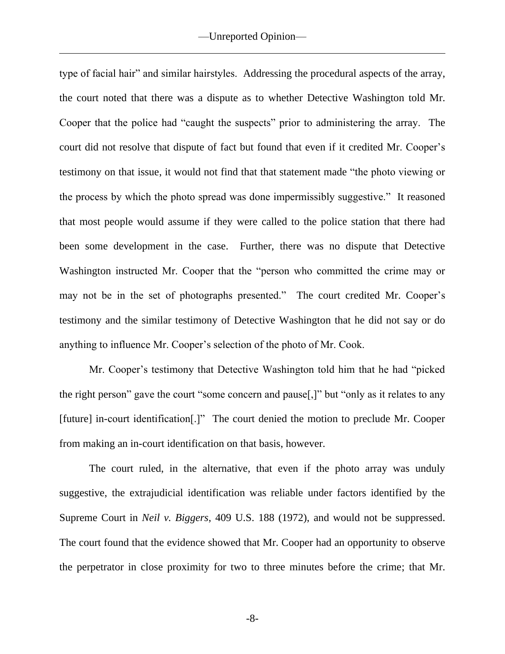type of facial hair" and similar hairstyles. Addressing the procedural aspects of the array, the court noted that there was a dispute as to whether Detective Washington told Mr. Cooper that the police had "caught the suspects" prior to administering the array. The court did not resolve that dispute of fact but found that even if it credited Mr. Cooper's testimony on that issue, it would not find that that statement made "the photo viewing or the process by which the photo spread was done impermissibly suggestive." It reasoned that most people would assume if they were called to the police station that there had been some development in the case. Further, there was no dispute that Detective Washington instructed Mr. Cooper that the "person who committed the crime may or may not be in the set of photographs presented." The court credited Mr. Cooper's testimony and the similar testimony of Detective Washington that he did not say or do anything to influence Mr. Cooper's selection of the photo of Mr. Cook.

Mr. Cooper's testimony that Detective Washington told him that he had "picked the right person" gave the court "some concern and pause[,]" but "only as it relates to any [future] in-court identification[.]" The court denied the motion to preclude Mr. Cooper from making an in-court identification on that basis, however.

The court ruled, in the alternative, that even if the photo array was unduly suggestive, the extrajudicial identification was reliable under factors identified by the Supreme Court in *Neil v. Biggers*, 409 U.S. 188 (1972), and would not be suppressed. The court found that the evidence showed that Mr. Cooper had an opportunity to observe the perpetrator in close proximity for two to three minutes before the crime; that Mr.

-8-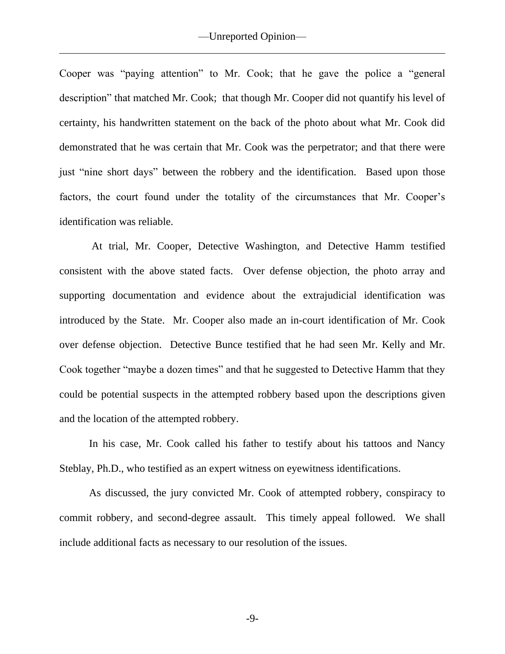Cooper was "paying attention" to Mr. Cook; that he gave the police a "general description" that matched Mr. Cook; that though Mr. Cooper did not quantify his level of certainty, his handwritten statement on the back of the photo about what Mr. Cook did demonstrated that he was certain that Mr. Cook was the perpetrator; and that there were just "nine short days" between the robbery and the identification. Based upon those factors, the court found under the totality of the circumstances that Mr. Cooper's identification was reliable.

At trial, Mr. Cooper, Detective Washington, and Detective Hamm testified consistent with the above stated facts. Over defense objection, the photo array and supporting documentation and evidence about the extrajudicial identification was introduced by the State. Mr. Cooper also made an in-court identification of Mr. Cook over defense objection. Detective Bunce testified that he had seen Mr. Kelly and Mr. Cook together "maybe a dozen times" and that he suggested to Detective Hamm that they could be potential suspects in the attempted robbery based upon the descriptions given and the location of the attempted robbery.

In his case, Mr. Cook called his father to testify about his tattoos and Nancy Steblay, Ph.D., who testified as an expert witness on eyewitness identifications.

As discussed, the jury convicted Mr. Cook of attempted robbery, conspiracy to commit robbery, and second-degree assault. This timely appeal followed. We shall include additional facts as necessary to our resolution of the issues.

-9-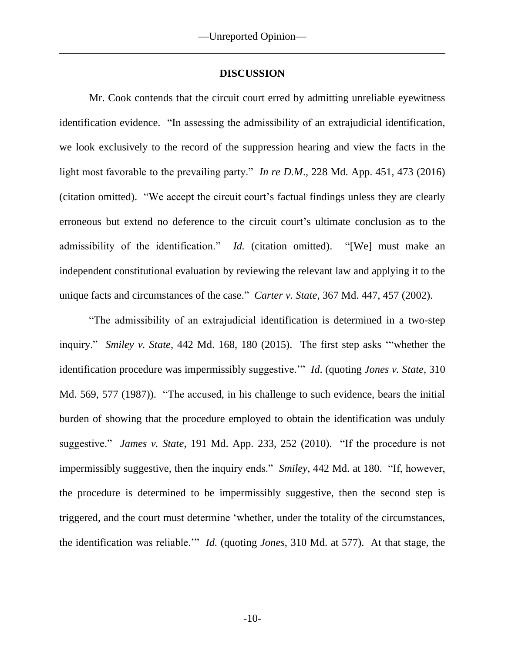# **DISCUSSION**

Mr. Cook contends that the circuit court erred by admitting unreliable eyewitness identification evidence. "In assessing the admissibility of an extrajudicial identification, we look exclusively to the record of the suppression hearing and view the facts in the light most favorable to the prevailing party." *In re D.M*., 228 Md. App. 451, 473 (2016) (citation omitted). "We accept the circuit court's factual findings unless they are clearly erroneous but extend no deference to the circuit court's ultimate conclusion as to the admissibility of the identification." *Id.* (citation omitted). "[We] must make an independent constitutional evaluation by reviewing the relevant law and applying it to the unique facts and circumstances of the case." *Carter v. State*, 367 Md. 447, 457 (2002).

"The admissibility of an extrajudicial identification is determined in a two-step inquiry." *Smiley v. State*, 442 Md. 168, 180 (2015). The first step asks '"whether the identification procedure was impermissibly suggestive.'" *Id*. (quoting *Jones v. State*, 310 Md. 569, 577 (1987)). "The accused, in his challenge to such evidence, bears the initial burden of showing that the procedure employed to obtain the identification was unduly suggestive." *James v. State*, 191 Md. App. 233, 252 (2010). "If the procedure is not impermissibly suggestive, then the inquiry ends." *Smiley*, 442 Md. at 180. "If, however, the procedure is determined to be impermissibly suggestive, then the second step is triggered, and the court must determine 'whether, under the totality of the circumstances, the identification was reliable.'" *Id.* (quoting *Jones*, 310 Md. at 577). At that stage, the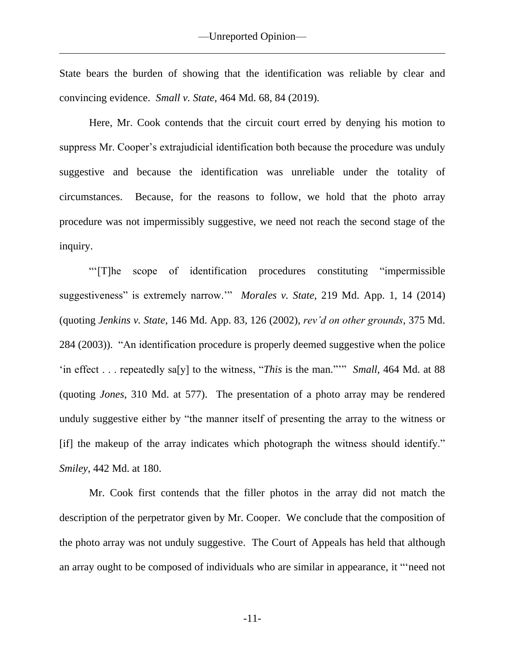State bears the burden of showing that the identification was reliable by clear and convincing evidence. *Small v. State*, 464 Md. 68, 84 (2019).

Here, Mr. Cook contends that the circuit court erred by denying his motion to suppress Mr. Cooper's extrajudicial identification both because the procedure was unduly suggestive and because the identification was unreliable under the totality of circumstances. Because, for the reasons to follow, we hold that the photo array procedure was not impermissibly suggestive, we need not reach the second stage of the inquiry.

"'[T]he scope of identification procedures constituting "impermissible suggestiveness" is extremely narrow.'" *Morales v. State*, 219 Md. App. 1, 14 (2014) (quoting *Jenkins v. State*, 146 Md. App. 83, 126 (2002), *rev'd on other grounds*, 375 Md. 284 (2003)). "An identification procedure is properly deemed suggestive when the police 'in effect . . . repeatedly sa[y] to the witness, "*This* is the man."'" *Small*, 464 Md. at 88 (quoting *Jones*, 310 Md. at 577). The presentation of a photo array may be rendered unduly suggestive either by "the manner itself of presenting the array to the witness or [if] the makeup of the array indicates which photograph the witness should identify." *Smiley*, 442 Md. at 180.

Mr. Cook first contends that the filler photos in the array did not match the description of the perpetrator given by Mr. Cooper. We conclude that the composition of the photo array was not unduly suggestive. The Court of Appeals has held that although an array ought to be composed of individuals who are similar in appearance, it "'need not

-11-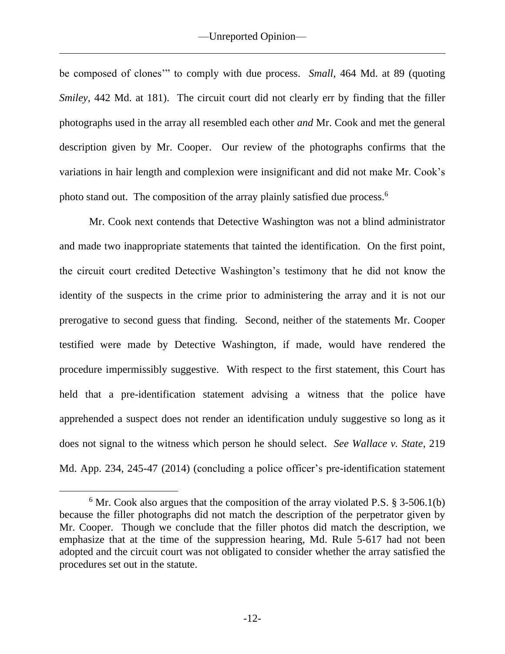be composed of clones'" to comply with due process. *Small*, 464 Md. at 89 (quoting *Smiley*, 442 Md. at 181). The circuit court did not clearly err by finding that the filler photographs used in the array all resembled each other *and* Mr. Cook and met the general description given by Mr. Cooper. Our review of the photographs confirms that the variations in hair length and complexion were insignificant and did not make Mr. Cook's photo stand out. The composition of the array plainly satisfied due process.<sup>6</sup>

Mr. Cook next contends that Detective Washington was not a blind administrator and made two inappropriate statements that tainted the identification. On the first point, the circuit court credited Detective Washington's testimony that he did not know the identity of the suspects in the crime prior to administering the array and it is not our prerogative to second guess that finding. Second, neither of the statements Mr. Cooper testified were made by Detective Washington, if made, would have rendered the procedure impermissibly suggestive. With respect to the first statement, this Court has held that a pre-identification statement advising a witness that the police have apprehended a suspect does not render an identification unduly suggestive so long as it does not signal to the witness which person he should select. *See Wallace v. State*, 219 Md. App. 234, 245-47 (2014) (concluding a police officer's pre-identification statement

 $6$  Mr. Cook also argues that the composition of the array violated P.S.  $\S$  3-506.1(b) because the filler photographs did not match the description of the perpetrator given by Mr. Cooper. Though we conclude that the filler photos did match the description, we emphasize that at the time of the suppression hearing, Md. Rule 5-617 had not been adopted and the circuit court was not obligated to consider whether the array satisfied the procedures set out in the statute.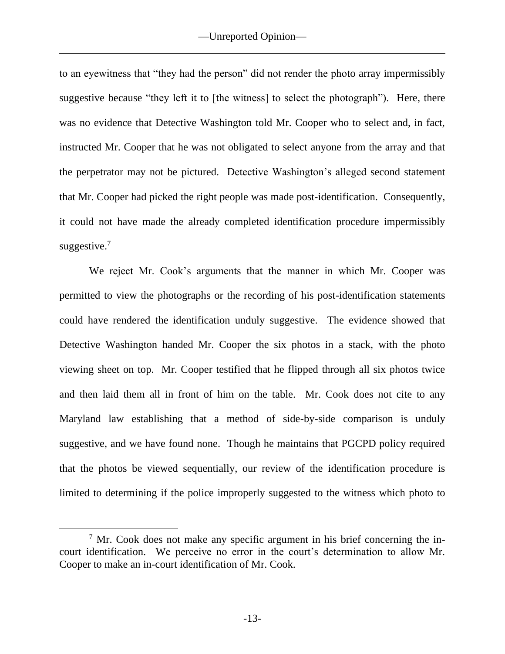to an eyewitness that "they had the person" did not render the photo array impermissibly suggestive because "they left it to [the witness] to select the photograph"). Here, there was no evidence that Detective Washington told Mr. Cooper who to select and, in fact, instructed Mr. Cooper that he was not obligated to select anyone from the array and that the perpetrator may not be pictured. Detective Washington's alleged second statement that Mr. Cooper had picked the right people was made post-identification. Consequently, it could not have made the already completed identification procedure impermissibly suggestive.<sup>7</sup>

We reject Mr. Cook's arguments that the manner in which Mr. Cooper was permitted to view the photographs or the recording of his post-identification statements could have rendered the identification unduly suggestive. The evidence showed that Detective Washington handed Mr. Cooper the six photos in a stack, with the photo viewing sheet on top. Mr. Cooper testified that he flipped through all six photos twice and then laid them all in front of him on the table. Mr. Cook does not cite to any Maryland law establishing that a method of side-by-side comparison is unduly suggestive, and we have found none. Though he maintains that PGCPD policy required that the photos be viewed sequentially, our review of the identification procedure is limited to determining if the police improperly suggested to the witness which photo to

 $<sup>7</sup>$  Mr. Cook does not make any specific argument in his brief concerning the in-</sup> court identification. We perceive no error in the court's determination to allow Mr. Cooper to make an in-court identification of Mr. Cook.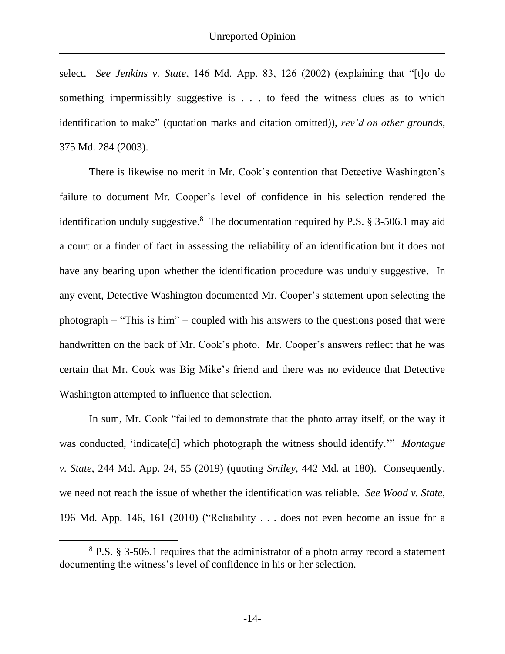select. *See Jenkins v. State*, 146 Md. App. 83, 126 (2002) (explaining that "[t]o do something impermissibly suggestive is . . . to feed the witness clues as to which identification to make" (quotation marks and citation omitted)), *rev'd on other grounds*, 375 Md. 284 (2003).

There is likewise no merit in Mr. Cook's contention that Detective Washington's failure to document Mr. Cooper's level of confidence in his selection rendered the identification unduly suggestive.<sup>8</sup> The documentation required by P.S.  $\S$  3-506.1 may aid a court or a finder of fact in assessing the reliability of an identification but it does not have any bearing upon whether the identification procedure was unduly suggestive. In any event, Detective Washington documented Mr. Cooper's statement upon selecting the photograph – "This is him" – coupled with his answers to the questions posed that were handwritten on the back of Mr. Cook's photo. Mr. Cooper's answers reflect that he was certain that Mr. Cook was Big Mike's friend and there was no evidence that Detective Washington attempted to influence that selection.

In sum, Mr. Cook "failed to demonstrate that the photo array itself, or the way it was conducted, 'indicate[d] which photograph the witness should identify.'" *Montague v. State*, 244 Md. App. 24, 55 (2019) (quoting *Smiley*, 442 Md. at 180). Consequently, we need not reach the issue of whether the identification was reliable. *See Wood v. State*, 196 Md. App. 146, 161 (2010) ("Reliability . . . does not even become an issue for a

<sup>8</sup> P.S. § 3-506.1 requires that the administrator of a photo array record a statement documenting the witness's level of confidence in his or her selection.